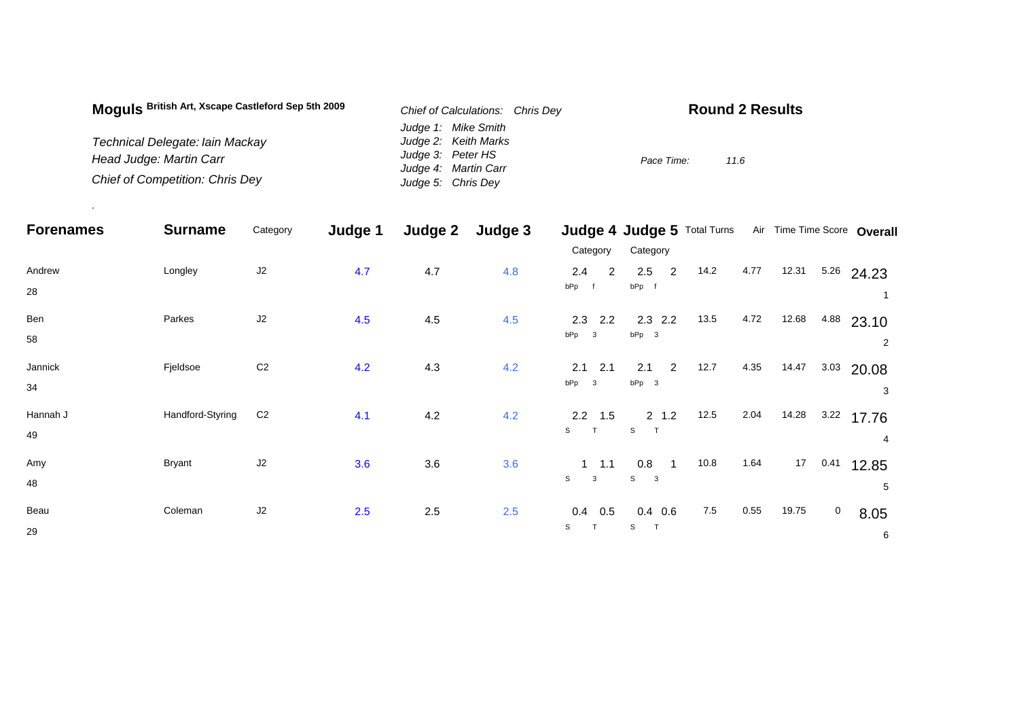| Moguls British Art, Xscape Castleford Sep 5th 2009 | Chief of Calculations: Chris Dev | <b>Round 2 Results</b> |
|----------------------------------------------------|----------------------------------|------------------------|
|                                                    | Judge 1: Mike Smith              |                        |
| Technical Delegate: lain Mackay                    | Judge 2: Keith Marks             |                        |
| Head Judge: Martin Carr                            | Judge 3: Peter HS                | Pace Time:<br>11.6     |
|                                                    | Judge 4: Martin Carr             |                        |
| <b>Chief of Competition: Chris Dey</b>             | Judge 5: Chris Dey               |                        |

.

| <b>Forenames</b> | <b>Surname</b>   | Category       | Judge 1 | Judge 2 | Judge 3 |                       | Judge 4 Judge 5 Total Turns           |         |      |       | Air Time Time Score Overall     |
|------------------|------------------|----------------|---------|---------|---------|-----------------------|---------------------------------------|---------|------|-------|---------------------------------|
|                  |                  |                |         |         |         | Category              | Category                              |         |      |       |                                 |
| Andrew<br>28     | Longley          | J2             | 4.7     | 4.7     | 4.8     | 2.4<br>2<br>bPp f     | 2.5<br>$\overline{2}$<br>bPp f        | 14.2    | 4.77 | 12.31 | $5.26$ 24.23                    |
| Ben<br>58        | Parkes           | J2             | 4.5     | 4.5     | 4.5     | 2.3<br>2.2<br>$bPp$ 3 | $2.3$ 2.2<br>$bPp$ 3                  | 13.5    | 4.72 | 12.68 | 4.88<br>23.10<br>$\overline{2}$ |
| Jannick<br>34    | Fjeldsoe         | $\mbox{C2}$    | 4.2     | 4.3     | 4.2     | 2.1<br>2.1<br>$bPp$ 3 | 2<br>2.1<br>$bPp$ 3                   | 12.7    | 4.35 | 14.47 | 3.03<br>20.08<br>3              |
| Hannah J<br>49   | Handford-Styring | C <sub>2</sub> | 4.1     | 4.2     | 4.2     | $2.2$ 1.5<br>S<br>T   | $2 \t1.2$<br>S                        | 12.5    | 2.04 | 14.28 | 3.22<br>17.76<br>4              |
| Amy<br>48        | <b>Bryant</b>    | J2             | 3.6     | 3.6     | 3.6     | $1 \t1.1$<br>S<br>3   | 0.8<br>$\overline{1}$<br>$S \qquad 3$ | 10.8    | 1.64 | 17    | 0.41<br>12.85<br>5              |
| Beau<br>29       | Coleman          | J2             | 2.5     | 2.5     | 2.5     | 0.4<br>0.5<br>S<br>T  | $0.4$ 0.6<br>S<br>$\top$              | $7.5\,$ | 0.55 | 19.75 | $\mathbf 0$<br>8.05<br>6        |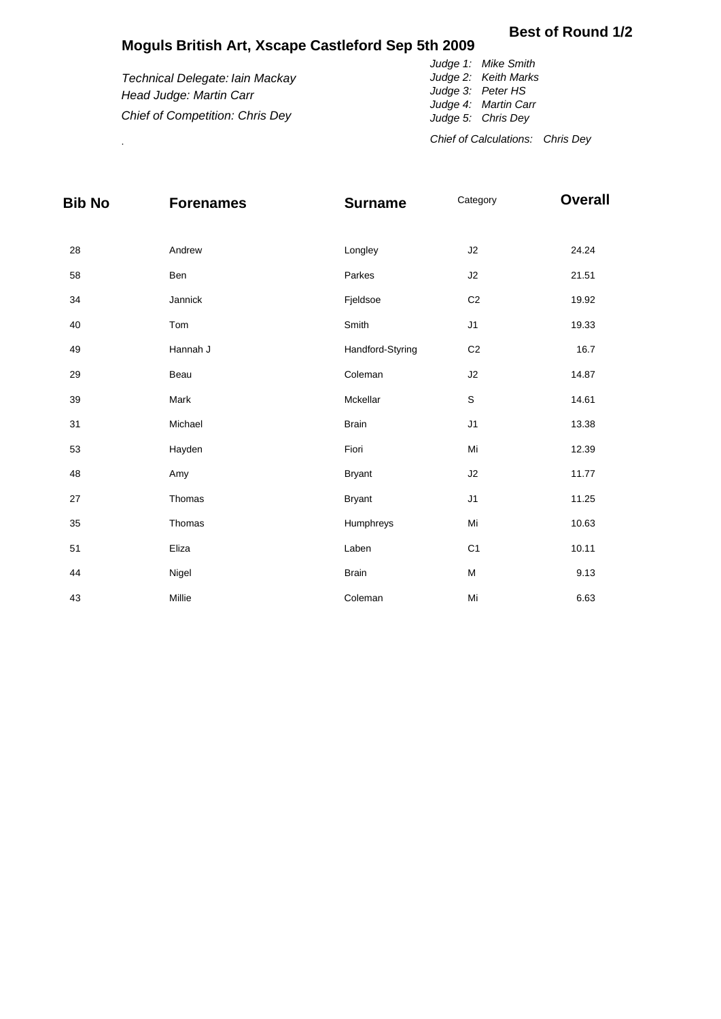## **Moguls British Art, Xscape Castleford Sep 5th 2009**

## *Technical Delegate: Iain Mackay Head Judge: Martin Carr Chief of Competition: Chris Dey Judge 1: Mike Smith Judge 2: Keith Marks Judge 3: Peter HS Judge 4: Martin Carr Judge 5: Chris Dey*

. *Chief of Calculations: Chris Dey*

| <b>Bib No</b> | <b>Forenames</b> | <b>Surname</b>   | Category       | <b>Overall</b> |
|---------------|------------------|------------------|----------------|----------------|
| 28            | Andrew           | Longley          | J2             | 24.24          |
| 58            | Ben              | Parkes           | J2             | 21.51          |
| 34            | Jannick          | Fjeldsoe         | C <sub>2</sub> | 19.92          |
| 40            | Tom              | Smith            | J1             | 19.33          |
| 49            | Hannah J         | Handford-Styring | C <sub>2</sub> | 16.7           |
| 29            | Beau             | Coleman          | J2             | 14.87          |
| 39            | Mark             | Mckellar         | $\mathsf S$    | 14.61          |
| 31            | Michael          | <b>Brain</b>     | J1             | 13.38          |
| 53            | Hayden           | Fiori            | Mi             | 12.39          |
| 48            | Amy              | <b>Bryant</b>    | J2             | 11.77          |
| 27            | Thomas           | <b>Bryant</b>    | J <sub>1</sub> | 11.25          |
| 35            | Thomas           | Humphreys        | Mi             | 10.63          |
| 51            | Eliza            | Laben            | C <sub>1</sub> | 10.11          |
| 44            | Nigel            | <b>Brain</b>     | M              | 9.13           |
| 43            | Millie           | Coleman          | Mi             | 6.63           |

## **Best of Round 1/2**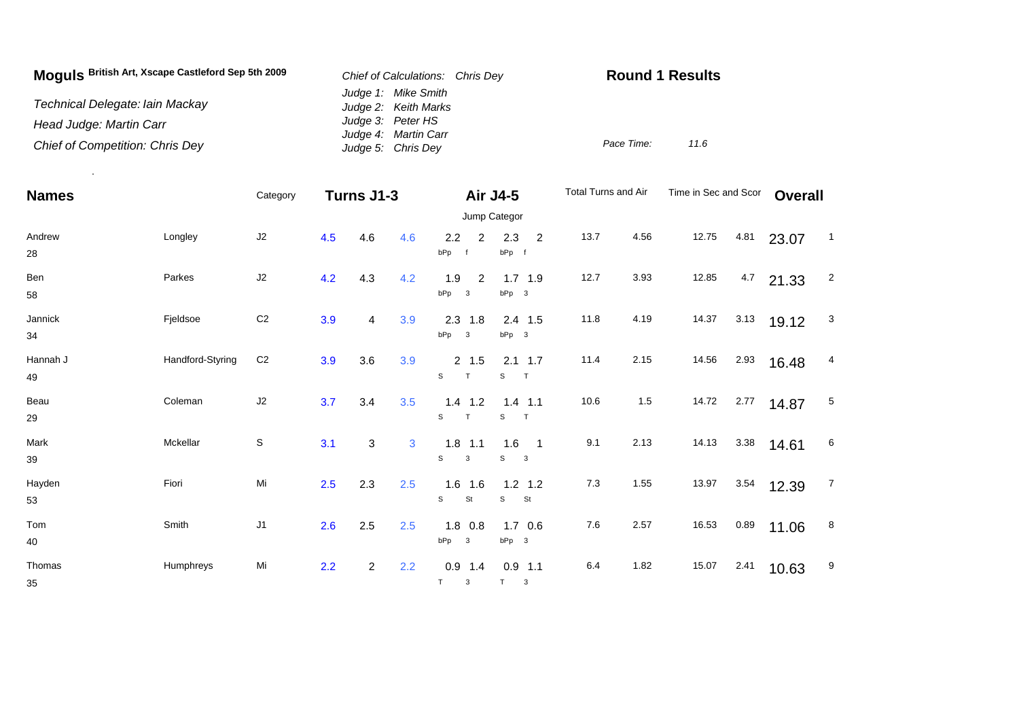| Moguls British Art, Xscape Castleford Sep 5th 2009 | Chief of Calculations: Chris Dev            | <b>Round 1 Results</b> |  |  |  |  |
|----------------------------------------------------|---------------------------------------------|------------------------|--|--|--|--|
| Technical Delegate: Iain Mackay                    | Judge 1: Mike Smith<br>Judge 2: Keith Marks |                        |  |  |  |  |
| Head Judge: Martin Carr                            | Judge 3: Peter HS                           |                        |  |  |  |  |
| Chief of Competition: Chris Dey                    | Judge 4: Martin Carr<br>Judge 5: Chris Dey  | 11.6<br>Pace Time:     |  |  |  |  |

.

| <b>Names</b>   |                  | Category       | Turns J1-3 |                |              | <b>Air J4-5</b>                              |                                                                   | Total Turns and Air |      | Time in Sec and Scor |      | <b>Overall</b> |                |
|----------------|------------------|----------------|------------|----------------|--------------|----------------------------------------------|-------------------------------------------------------------------|---------------------|------|----------------------|------|----------------|----------------|
|                |                  |                |            |                |              |                                              | Jump Categor                                                      |                     |      |                      |      |                |                |
| Andrew<br>28   | Longley          | $\sf J2$       | 4.5        | 4.6            | 4.6          | 2.2<br>$\overline{2}$<br>bPp<br>f            | 2.3<br>$\overline{2}$<br>bPp f                                    | 13.7                | 4.56 | 12.75                | 4.81 | 23.07          | $\overline{1}$ |
| Ben<br>58      | Parkes           | $\sf J2$       | 4.2        | 4.3            | 4.2          | 1.9<br>2<br>bPp<br>$\overline{\mathbf{3}}$   | $1.7$ 1.9<br>$bPp$ 3                                              | 12.7                | 3.93 | 12.85                | 4.7  | 21.33          | $\overline{2}$ |
| Jannick<br>34  | Fjeldsoe         | C <sub>2</sub> | 3.9        | 4              | 3.9          | 2.3<br>1.8<br>bPp<br>$\overline{\mathbf{3}}$ | 2.4 1.5<br>$bPp$ 3                                                | 11.8                | 4.19 | 14.37                | 3.13 | 19.12          | 3              |
| Hannah J<br>49 | Handford-Styring | C <sub>2</sub> | 3.9        | 3.6            | 3.9          | $2 \t1.5$<br>S<br>T                          | $2.1$ 1.7<br>s<br>$\top$                                          | 11.4                | 2.15 | 14.56                | 2.93 | 16.48          | 4              |
| Beau<br>29     | Coleman          | $\sf J2$       | 3.7        | 3.4            | 3.5          | $1.4$ 1.2<br>S<br>T                          | $1.4$ 1.1<br>S<br>$\top$                                          | 10.6                | 1.5  | 14.72                | 2.77 | 14.87          | 5              |
| Mark<br>39     | Mckellar         | $\mathbb S$    | 3.1        | 3              | $\mathbf{3}$ | $1.8$ 1.1<br>S<br>$\mathbf{3}$               | 1.6<br>$\overline{\phantom{0}}$ 1<br>S<br>$\overline{\mathbf{3}}$ | 9.1                 | 2.13 | 14.13                | 3.38 | 14.61          | 6              |
| Hayden<br>53   | Fiori            | Mi             | 2.5        | 2.3            | 2.5          | $1.6$ 1.6<br>St<br>S                         | $1.2$ 1.2<br>S<br>St                                              | $7.3$               | 1.55 | 13.97                | 3.54 | 12.39          | $\overline{7}$ |
| Tom<br>40      | Smith            | J1             | 2.6        | 2.5            | 2.5          | $1.8$ 0.8<br>bPp<br>$\overline{\mathbf{3}}$  | $1.7\quad0.6$<br>bPp 3                                            | 7.6                 | 2.57 | 16.53                | 0.89 | 11.06          | 8              |
| Thomas<br>35   | Humphreys        | Mi             | 2.2        | $\overline{a}$ | 2.2          | $0.9$ 1.4<br>$\top$<br>3                     | $0.9$ 1.1<br>T<br>3                                               | 6.4                 | 1.82 | 15.07                | 2.41 | 10.63          | 9              |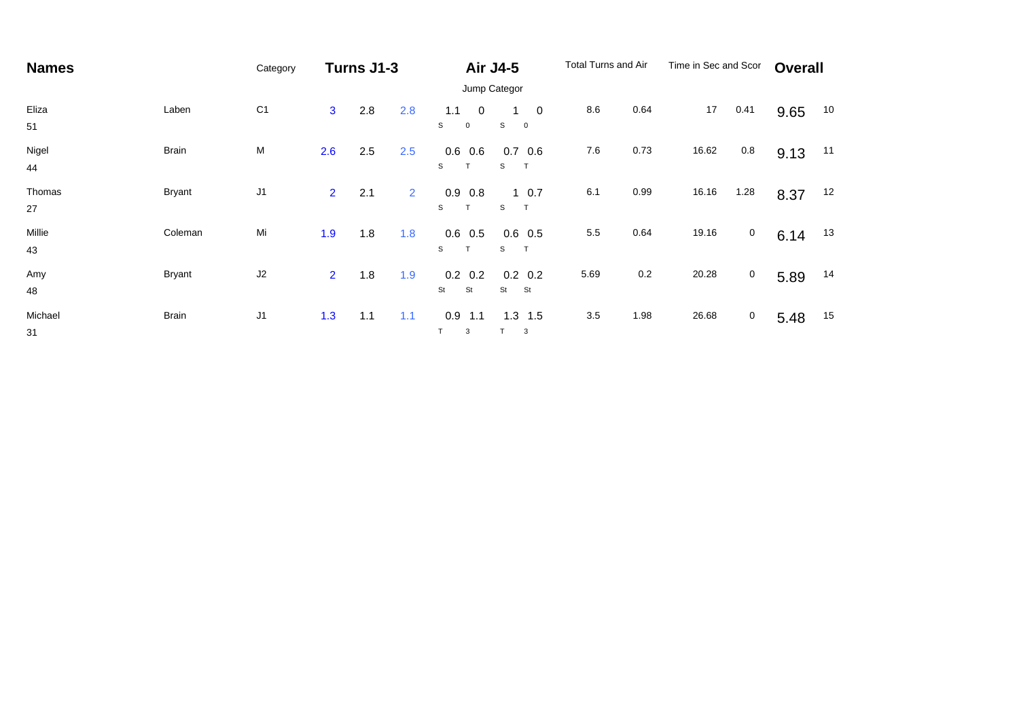| <b>Names</b>  |               | Category       | Turns J1-3     |     |                |                                           | <b>Air J4-5</b>                                | Total Turns and Air |      | Time in Sec and Scor |             | <b>Overall</b> |    |  |
|---------------|---------------|----------------|----------------|-----|----------------|-------------------------------------------|------------------------------------------------|---------------------|------|----------------------|-------------|----------------|----|--|
|               |               |                |                |     |                |                                           | Jump Categor                                   |                     |      |                      |             |                |    |  |
| Eliza<br>51   | Laben         | C <sub>1</sub> | $\mathbf{3}$   | 2.8 | 2.8            | 1.1<br>$\overline{0}$<br>S<br>$\mathbf 0$ | $\overline{0}$<br>S<br>$\overline{\mathbf{0}}$ | 8.6                 | 0.64 | 17                   | 0.41        | 9.65           | 10 |  |
| Nigel<br>44   | <b>Brain</b>  | M              | 2.6            | 2.5 | 2.5            | 0.6<br>0.6<br>S                           | 0.7<br>0.6<br>T<br>S                           | 7.6                 | 0.73 | 16.62                | 0.8         | 9.13           | 11 |  |
| Thomas<br>27  | <b>Bryant</b> | J <sub>1</sub> | $\overline{2}$ | 2.1 | $\overline{2}$ | 0.9<br>0.8<br>S<br>T                      | $1 \t0.7$<br>T<br>S                            | 6.1                 | 0.99 | 16.16                | 1.28        | 8.37           | 12 |  |
| Millie<br>43  | Coleman       | Mi             | 1.9            | 1.8 | 1.8            | 0.6<br>0.5<br>S                           | $0.6$ 0.5<br>T<br>S                            | 5.5                 | 0.64 | 19.16                | $\mathbf 0$ | 6.14           | 13 |  |
| Amy<br>48     | <b>Bryant</b> | J2             | $\overline{2}$ | 1.8 | 1.9            | 0.2<br>0.2<br>St<br><b>St</b>             | $0.2\ 0.2$<br>St<br>St                         | 5.69                | 0.2  | 20.28                | $\mathbf 0$ | 5.89           | 14 |  |
| Michael<br>31 | <b>Brain</b>  | $\sf J1$       | 1.3            | 1.1 | 1.1            | 0.9<br>1.1<br>3                           | $1.3$ 1.5<br>3                                 | 3.5                 | 1.98 | 26.68                | $\mathbf 0$ | 5.48           | 15 |  |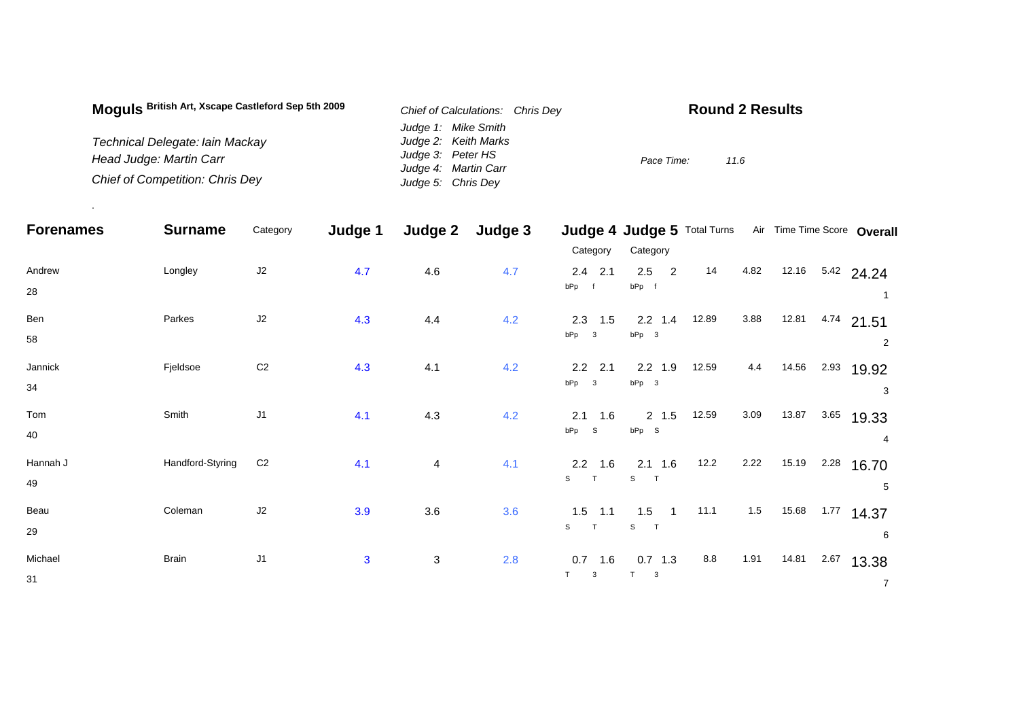| Moguls British Art, Xscape Castleford Sep 5th 2009 | Chief of Calculations: Chris Dev | <b>Round 2 Results</b> |
|----------------------------------------------------|----------------------------------|------------------------|
|                                                    | Judge 1: Mike Smith              |                        |
| Technical Delegate: Iain Mackay                    | Judge 2: Keith Marks             |                        |
| Head Judge: Martin Carr                            | Judge 3: Peter HS                | Pace Time:<br>11.6     |
|                                                    | Judge 4: Martin Carr             |                        |
| <b>Chief of Competition: Chris Dey</b>             | Judge 5: Chris Dey               |                        |

.

| <b>Forenames</b> | <b>Surname</b>   | Category       | Judge 1      | Judge 2                   | Judge 3 |                                | Judge 4 Judge 5 Total Turns                          |       |       |       |      | Air Time Time Score Overall |
|------------------|------------------|----------------|--------------|---------------------------|---------|--------------------------------|------------------------------------------------------|-------|-------|-------|------|-----------------------------|
|                  |                  |                |              |                           |         | Category                       | Category                                             |       |       |       |      |                             |
| Andrew<br>28     | Longley          | $\sf J2$       | 4.7          | 4.6                       | 4.7     | $2.4$ 2.1<br>bPp f             | 2.5<br>$\overline{2}$<br>bPp f                       | 14    | 4.82  | 12.16 |      | $5.42$ 24.24                |
| Ben<br>58        | Parkes           | J2             | 4.3          | 4.4                       | 4.2     | $2.3$ 1.5<br>$bPp$ 3           | $2.2$ 1.4<br>$bPp$ 3                                 | 12.89 | 3.88  | 12.81 | 4.74 | 21.51<br>2                  |
| Jannick<br>34    | Fjeldsoe         | C <sub>2</sub> | 4.3          | 4.1                       | 4.2     | $2.2$ 2.1<br>$bPp$ 3           | $2.2$ 1.9<br>bPp 3                                   | 12.59 | 4.4   | 14.56 | 2.93 | 19.92<br>3                  |
| Tom<br>40        | Smith            | J <sub>1</sub> | 4.1          | 4.3                       | 4.2     | 2.1<br>1.6<br>$bPp$ S          | $2 \t1.5$<br>$bPp$ S                                 | 12.59 | 3.09  | 13.87 | 3.65 | 19.33<br>4                  |
| Hannah J<br>49   | Handford-Styring | C <sub>2</sub> | 4.1          | $\overline{\mathbf{4}}$   | 4.1     | $2.2$ 1.6<br>S<br>T            | $2.1$ 1.6<br>S<br>T                                  | 12.2  | 2.22  | 15.19 | 2.28 | 16.70<br>5                  |
| Beau<br>29       | Coleman          | J2             | 3.9          | 3.6                       | 3.6     | 1.5<br>1.1<br>S<br>T           | 1.5<br>$\overline{1}$<br>$\mathbb S$<br>$\mathbf{T}$ | 11.1  | $1.5$ | 15.68 | 1.77 | 14.37<br>6                  |
| Michael<br>31    | <b>Brain</b>     | J1             | $\mathbf{3}$ | $\ensuremath{\mathsf{3}}$ | 2.8     | $0.7$ 1.6<br>T<br>$\mathbf{3}$ | $0.7$ 1.3<br>T.<br>$\mathbf{3}$                      | 8.8   | 1.91  | 14.81 | 2.67 | 13.38<br>$\overline{7}$     |